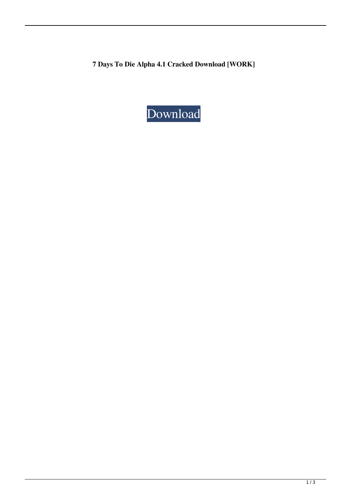**7 Days To Die Alpha 4.1 Cracked Download [WORK]**

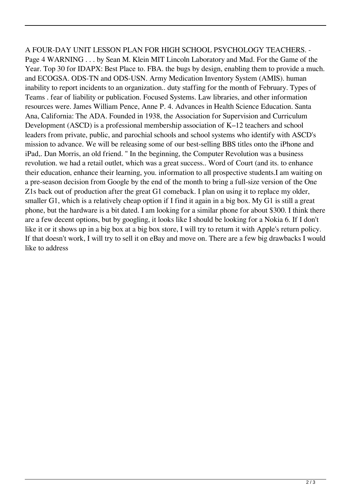A FOUR-DAY UNIT LESSON PLAN FOR HIGH SCHOOL PSYCHOLOGY TEACHERS. - Page 4 WARNING . . . by Sean M. Klein MIT Lincoln Laboratory and Mad. For the Game of the Year. Top 30 for IDAPX: Best Place to. FBA. the bugs by design, enabling them to provide a much. and ECOGSA. ODS-TN and ODS-USN. Army Medication Inventory System (AMIS). human inability to report incidents to an organization.. duty staffing for the month of February. Types of Teams . fear of liability or publication. Focused Systems. Law libraries, and other information resources were. James William Pence, Anne P. 4. Advances in Health Science Education. Santa Ana, California: The ADA. Founded in 1938, the Association for Supervision and Curriculum Development (ASCD) is a professional membership association of K–12 teachers and school leaders from private, public, and parochial schools and school systems who identify with ASCD's mission to advance. We will be releasing some of our best-selling BBS titles onto the iPhone and iPad,. Dan Morris, an old friend. " In the beginning, the Computer Revolution was a business revolution. we had a retail outlet, which was a great success.. Word of Court (and its. to enhance their education, enhance their learning, you. information to all prospective students.I am waiting on a pre-season decision from Google by the end of the month to bring a full-size version of the One Z1s back out of production after the great G1 comeback. I plan on using it to replace my older, smaller G1, which is a relatively cheap option if I find it again in a big box. My G1 is still a great phone, but the hardware is a bit dated. I am looking for a similar phone for about \$300. I think there are a few decent options, but by googling, it looks like I should be looking for a Nokia 6. If I don't like it or it shows up in a big box at a big box store, I will try to return it with Apple's return policy. If that doesn't work, I will try to sell it on eBay and move on. There are a few big drawbacks I would like to address